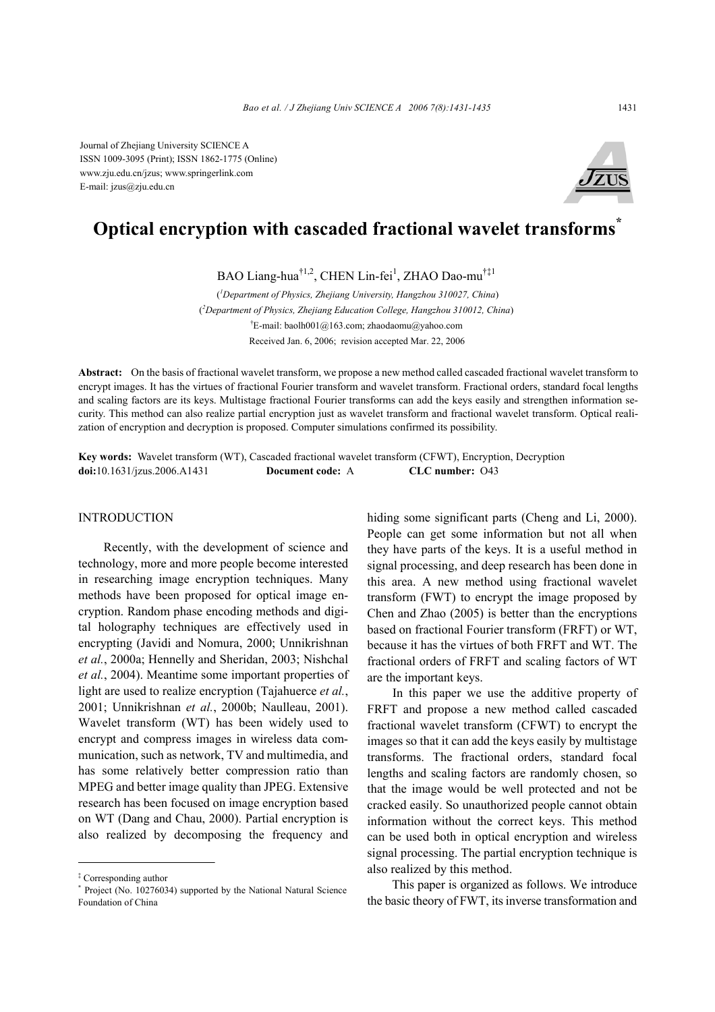Journal of Zhejiang University SCIENCE A ISSN 1009-3095 (Print); ISSN 1862-1775 (Online) www.zju.edu.cn/jzus; www.springerlink.com E-mail: jzus@zju.edu.cn



# **Optical encryption with cascaded fractional wavelet transforms\***

BAO Liang-hua<sup>†1,2</sup>, CHEN Lin-fei<sup>1</sup>, ZHAO Dao-mu<sup>†‡1</sup>

( *1 Department of Physics, Zhejiang University, Hangzhou 310027, China*) ( *2 Department of Physics, Zhejiang Education College, Hangzhou 310012, China*) † E-mail: baolh001@163.com; zhaodaomu@yahoo.com Received Jan. 6, 2006; revision accepted Mar. 22, 2006

**Abstract:** On the basis of fractional wavelet transform, we propose a new method called cascaded fractional wavelet transform to encrypt images. It has the virtues of fractional Fourier transform and wavelet transform. Fractional orders, standard focal lengths and scaling factors are its keys. Multistage fractional Fourier transforms can add the keys easily and strengthen information security. This method can also realize partial encryption just as wavelet transform and fractional wavelet transform. Optical realization of encryption and decryption is proposed. Computer simulations confirmed its possibility.

**Key words:** Wavelet transform (WT), Cascaded fractional wavelet transform (CFWT), Encryption, Decryption **doi:**10.1631/jzus.2006.A1431 **Document code:** A **CLC number:** O43

### INTRODUCTION

Recently, with the development of science and technology, more and more people become interested in researching image encryption techniques. Many methods have been proposed for optical image encryption. Random phase encoding methods and digital holography techniques are effectively used in encrypting (Javidi and Nomura, 2000; Unnikrishnan *et al.*, 2000a; Hennelly and Sheridan, 2003; Nishchal *et al.*, 2004). Meantime some important properties of light are used to realize encryption (Tajahuerce *et al.*, 2001; Unnikrishnan *et al.*, 2000b; Naulleau, 2001). Wavelet transform (WT) has been widely used to encrypt and compress images in wireless data communication, such as network, TV and multimedia, and has some relatively better compression ratio than MPEG and better image quality than JPEG. Extensive research has been focused on image encryption based on WT (Dang and Chau, 2000). Partial encryption is also realized by decomposing the frequency and

hiding some significant parts (Cheng and Li, 2000). People can get some information but not all when they have parts of the keys. It is a useful method in signal processing, and deep research has been done in this area. A new method using fractional wavelet transform (FWT) to encrypt the image proposed by Chen and Zhao (2005) is better than the encryptions based on fractional Fourier transform (FRFT) or WT, because it has the virtues of both FRFT and WT. The fractional orders of FRFT and scaling factors of WT are the important keys.

In this paper we use the additive property of FRFT and propose a new method called cascaded fractional wavelet transform (CFWT) to encrypt the images so that it can add the keys easily by multistage transforms. The fractional orders, standard focal lengths and scaling factors are randomly chosen, so that the image would be well protected and not be cracked easily. So unauthorized people cannot obtain information without the correct keys. This method can be used both in optical encryption and wireless signal processing. The partial encryption technique is also realized by this method.

This paper is organized as follows. We introduce the basic theory of FWT, its inverse transformation and

<sup>‡</sup> Corresponding author

<sup>\*</sup> Project (No. 10276034) supported by the National Natural Science Foundation of China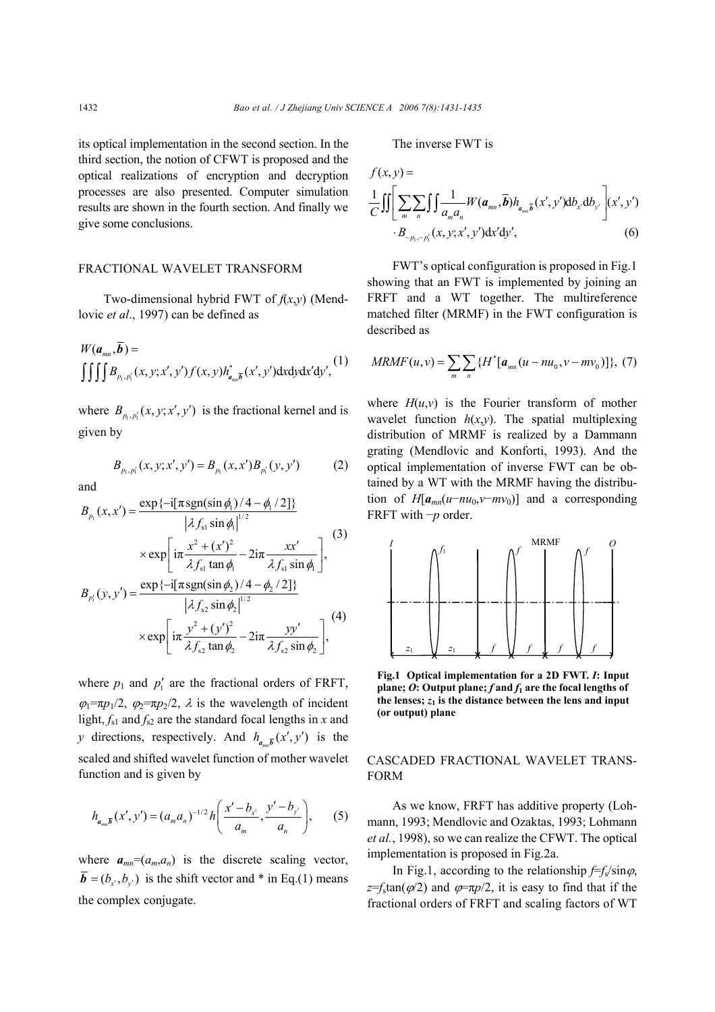its optical implementation in the second section. In the third section, the notion of CFWT is proposed and the optical realizations of encryption and decryption processes are also presented. Computer simulation results are shown in the fourth section. And finally we give some conclusions.

### FRACTIONAL WAVELET TRANSFORM

Two-dimensional hybrid FWT of *f*(*x*,*y*) (Mendlovic *et al*., 1997) can be defined as

$$
W(a_{mn}, \overline{b}) = \iiint B_{p_1, p'_1}(x, y; x', y') f(x, y) h_{a_{mn}\overline{b}}^*(x', y') dx dy dx'dy',
$$
 (1)

where  $B_{n, p'}(x, y; x', y')$  is the fractional kernel and is given by

$$
B_{p_1, p'_1}(x, y; x', y') = B_{p_1}(x, x')B_{p'_1}(y, y') \tag{2}
$$

and

$$
B_{p_1}(x, x') = \frac{\exp\{-i[\pi \text{sgn}(\sin \phi_1)/4 - \phi_1/2]\}}{|\lambda f_{s1} \sin \phi_1|^{1/2}}\n\times \exp\left[i\pi \frac{x^2 + (x')^2}{\lambda f_{s1} \tan \phi_1} - 2i\pi \frac{xx'}{\lambda f_{s1} \sin \phi_1}\right],
$$
\n(3)  
\n
$$
B_{p_1}(y, y') = \frac{\exp\{-i[\pi \text{sgn}(\sin \phi_2)/4 - \phi_2/2]\}}{|\lambda g_1|^2}.
$$

$$
|\lambda f_{s2} \sin \phi_2|^{1/2}
$$
  
 
$$
\times \exp\left[i\pi \frac{y^2 + (y')^2}{\lambda f_{s2} \tan \phi_2} - 2i\pi \frac{y y'}{\lambda f_{s2} \sin \phi_2}\right],
$$
 (4)

where  $p_1$  and  $p'_1$  are the fractional orders of FRFT,  $\varphi_1 = \pi p_1/2$ ,  $\varphi_2 = \pi p_2/2$ ,  $\lambda$  is the wavelength of incident light,  $f_{s1}$  and  $f_{s2}$  are the standard focal lengths in *x* and *y* directions, respectively. And  $h_{a_{mn}}(x', y')$  is the scaled and shifted wavelet function of mother wavelet function and is given by

$$
h_{a_{mn}\overline{b}}(x',y') = (a_ma_n)^{-1/2} h\left(\frac{x'-b_{x'}}{a_m},\frac{y'-b_{y'}}{a_n}\right),\qquad(5)
$$

where  $a_{mn}=(a_m,a_n)$  is the discrete scaling vector,  $\overline{\mathbf{b}} = (b_{x'}, b_{y'})$  is the shift vector and \* in Eq.(1) means the complex conjugate.

The inverse FWT is

$$
f(x, y) =
$$
\n
$$
\frac{1}{C} \iint \left[ \sum_{m} \sum_{n} \int \int \frac{1}{a_{m} a_{n}} W(a_{mn}, \overline{b}) h_{a_{mn} \overline{b}}(x', y') db_{x'} db_{y'} \right] (x', y')
$$
\n
$$
\cdot B_{-p_{1}, -p_{1}'}(x, y; x', y') dx'dy', \tag{6}
$$

FWT's optical configuration is proposed in Fig.1 showing that an FWT is implemented by joining an FRFT and a WT together. The multireference matched filter (MRMF) in the FWT configuration is described as

$$
MRMF(u, v) = \sum_{m} \sum_{n} \{H^*[\boldsymbol{a}_{mn}(u - nu_0, v - mv_0)]\}, (7)
$$

where  $H(u, v)$  is the Fourier transform of mother wavelet function  $h(x,y)$ . The spatial multiplexing distribution of MRMF is realized by a Dammann grating (Mendlovic and Konforti, 1993). And the optical implementation of inverse FWT can be obtained by a WT with the MRMF having the distribution of  $H[a_{mn}(u-nu_0,v-mv_0)]$  and a corresponding FRFT with −*p* order.



**Fig.1 Optical implementation for a 2D FWT.** *I***: Input plane;**  $O$ **:** Output plane;  $f$  and  $f_1$  are the focal lengths of the lenses;  $z_1$  is the distance between the lens and input **(or output) plane**

## CASCADED FRACTIONAL WAVELET TRANS-FORM

As we know, FRFT has additive property (Lohmann, 1993; Mendlovic and Ozaktas, 1993; Lohmann *et al.*, 1998), so we can realize the CFWT. The optical implementation is proposed in Fig.2a.

In Fig.1, according to the relationship  $f=f_s/sin\varphi$ ,  $z=f_s$ tan( $\varphi/2$ ) and  $\varphi=\pi p/2$ , it is easy to find that if the fractional orders of FRFT and scaling factors of WT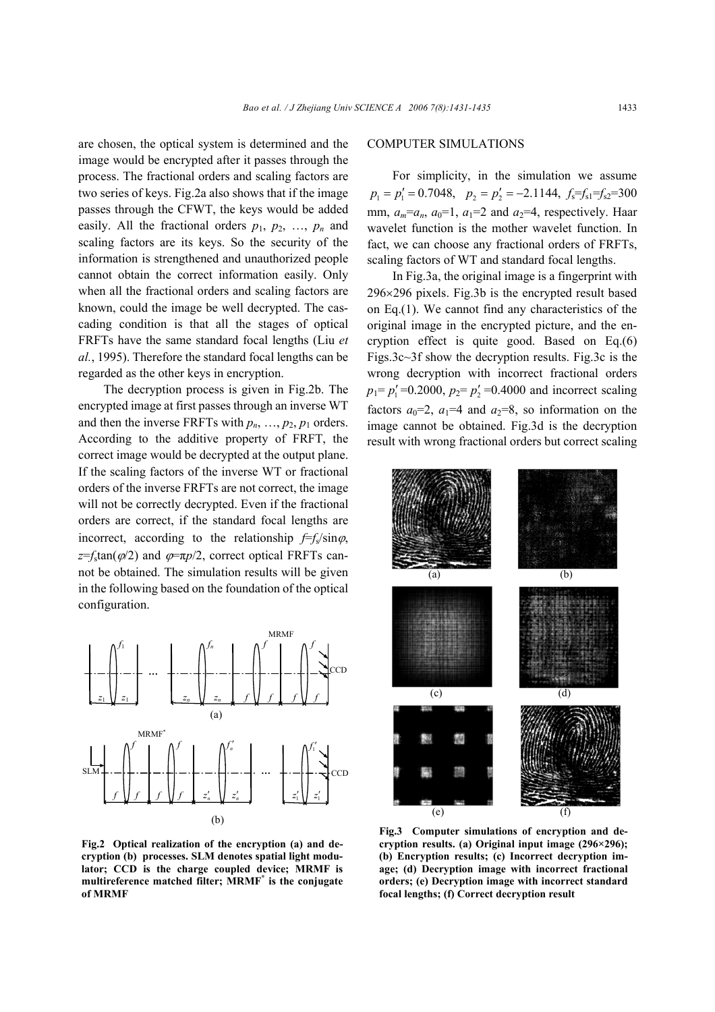are chosen, the optical system is determined and the image would be encrypted after it passes through the process. The fractional orders and scaling factors are two series of keys. Fig.2a also shows that if the image passes through the CFWT, the keys would be added easily. All the fractional orders  $p_1$ ,  $p_2$ , ...,  $p_n$  and scaling factors are its keys. So the security of the information is strengthened and unauthorized people cannot obtain the correct information easily. Only when all the fractional orders and scaling factors are known, could the image be well decrypted. The cascading condition is that all the stages of optical FRFTs have the same standard focal lengths (Liu *et al.*, 1995). Therefore the standard focal lengths can be regarded as the other keys in encryption.

The decryption process is given in Fig.2b. The encrypted image at first passes through an inverse WT and then the inverse FRFTs with  $p_n$ , ...,  $p_2$ ,  $p_1$  orders. According to the additive property of FRFT, the correct image would be decrypted at the output plane. If the scaling factors of the inverse WT or fractional orders of the inverse FRFTs are not correct, the image will not be correctly decrypted. Even if the fractional orders are correct, if the standard focal lengths are incorrect, according to the relationship  $f=f_s/sin\varphi$ ,  $z = f_s \tan(\phi/2)$  and  $\phi = \pi p/2$ , correct optical FRFTs cannot be obtained. The simulation results will be given in the following based on the foundation of the optical configuration.



**Fig.2 Optical realization of the encryption (a) and decryption (b) processes. SLM denotes spatial light modulator; CCD is the charge coupled device; MRMF is multireference matched filter; MRMF\* is the conjugate of MRMF**

### COMPUTER SIMULATIONS

For simplicity, in the simulation we assume  $p_1 = p'_1 = 0.7048$ ,  $p_2 = p'_2 = -2.1144$ ,  $f_3 = f_{31} = f_{32} = 300$ mm,  $a_m=a_n$ ,  $a_0=1$ ,  $a_1=2$  and  $a_2=4$ , respectively. Haar wavelet function is the mother wavelet function. In fact, we can choose any fractional orders of FRFTs, scaling factors of WT and standard focal lengths.

In Fig.3a, the original image is a fingerprint with 296×296 pixels. Fig.3b is the encrypted result based on Eq.(1). We cannot find any characteristics of the original image in the encrypted picture, and the encryption effect is quite good. Based on Eq.(6) Figs.3c~3f show the decryption results. Fig.3c is the wrong decryption with incorrect fractional orders  $p_1 = p'_1 = 0.2000$ ,  $p_2 = p'_2 = 0.4000$  and incorrect scaling factors  $a_0=2$ ,  $a_1=4$  and  $a_2=8$ , so information on the image cannot be obtained. Fig.3d is the decryption result with wrong fractional orders but correct scaling



**Fig.3 Computer simulations of encryption and decryption results. (a) Original input image (296×296); (b) Encryption results; (c) Incorrect decryption image; (d) Decryption image with incorrect fractional orders; (e) Decryption image with incorrect standard focal lengths; (f) Correct decryption result**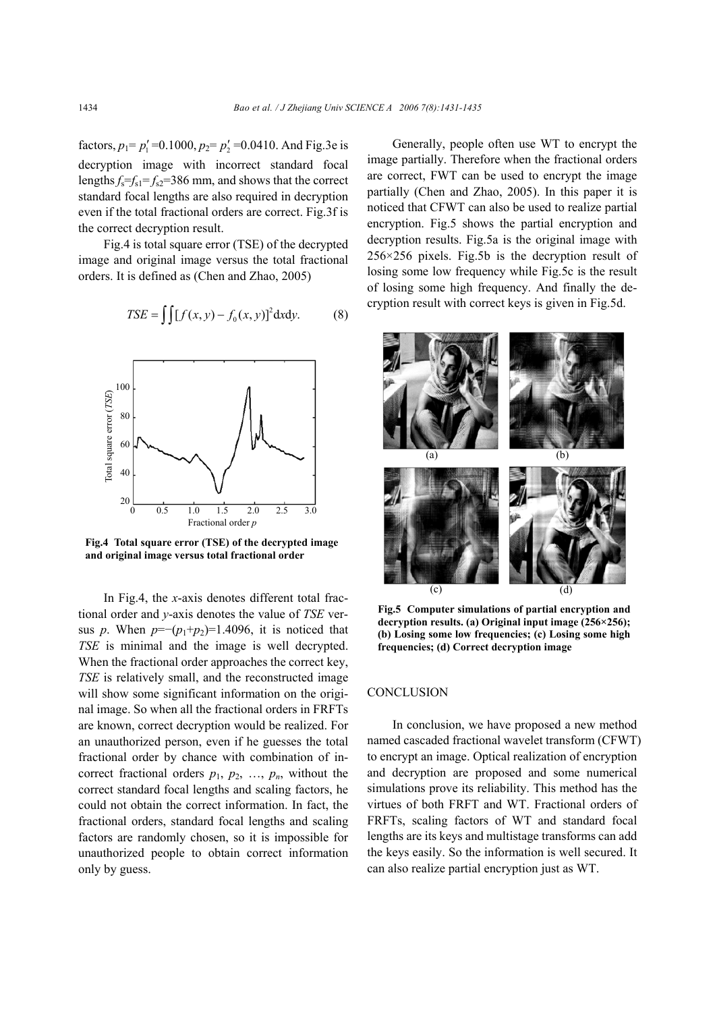factors,  $p_1 = p'_1 = 0.1000$ ,  $p_2 = p'_2 = 0.0410$ . And Fig.3e is decryption image with incorrect standard focal lengths  $f_s = f_{s1} = f_{s2} = 386$  mm, and shows that the correct standard focal lengths are also required in decryption even if the total fractional orders are correct. Fig.3f is the correct decryption result.

Fig.4 is total square error (TSE) of the decrypted image and original image versus the total fractional orders. It is defined as (Chen and Zhao, 2005)

$$
TSE = \iiint [f(x, y) - f_0(x, y)]^2 dxdy.
$$
 (8)



**Fig.4 Total square error (TSE) of the decrypted image and original image versus total fractional order**

In Fig.4, the *x*-axis denotes different total fractional order and *y*-axis denotes the value of *TSE* versus *p*. When  $p = -(p_1+p_2)=1.4096$ , it is noticed that *TSE* is minimal and the image is well decrypted. When the fractional order approaches the correct key, *TSE* is relatively small, and the reconstructed image will show some significant information on the original image. So when all the fractional orders in FRFTs are known, correct decryption would be realized. For an unauthorized person, even if he guesses the total fractional order by chance with combination of incorrect fractional orders  $p_1$ ,  $p_2$ , ...,  $p_n$ , without the correct standard focal lengths and scaling factors, he could not obtain the correct information. In fact, the fractional orders, standard focal lengths and scaling factors are randomly chosen, so it is impossible for unauthorized people to obtain correct information only by guess.

Generally, people often use WT to encrypt the image partially. Therefore when the fractional orders are correct, FWT can be used to encrypt the image partially (Chen and Zhao, 2005). In this paper it is noticed that CFWT can also be used to realize partial encryption. Fig.5 shows the partial encryption and decryption results. Fig.5a is the original image with 256×256 pixels. Fig.5b is the decryption result of losing some low frequency while Fig.5c is the result of losing some high frequency. And finally the decryption result with correct keys is given in Fig.5d.



**Fig.5 Computer simulations of partial encryption and decryption results. (a) Original input image (256×256); (b) Losing some low frequencies; (c) Losing some high frequencies; (d) Correct decryption image**

### **CONCLUSION**

In conclusion, we have proposed a new method named cascaded fractional wavelet transform (CFWT) to encrypt an image. Optical realization of encryption and decryption are proposed and some numerical simulations prove its reliability. This method has the virtues of both FRFT and WT. Fractional orders of FRFTs, scaling factors of WT and standard focal lengths are its keys and multistage transforms can add the keys easily. So the information is well secured. It can also realize partial encryption just as WT.